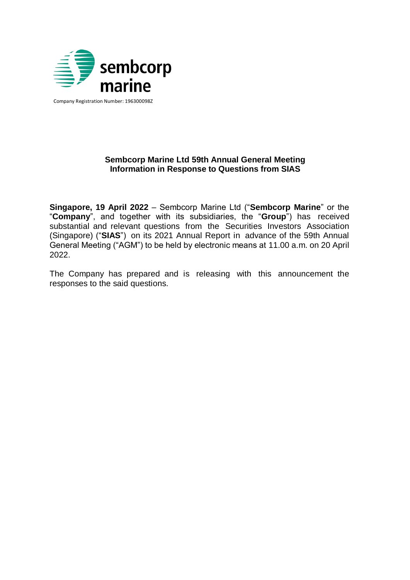

Company Registration Number: 196300098Z

# **Sembcorp Marine Ltd 59th Annual General Meeting Information in Response to Questions from SIAS**

**Singapore, 19 April 2022** – Sembcorp Marine Ltd ("**Sembcorp Marine**" or the "**Company**", and together with its subsidiaries, the "**Group**") has received substantial and relevant questions from the Securities Investors Association (Singapore) ("**SIAS**") on its 2021 Annual Report in advance of the 59th Annual General Meeting ("AGM") to be held by electronic means at 11.00 a.m. on 20 April 2022.

The Company has prepared and is releasing with this announcement the responses to the said questions.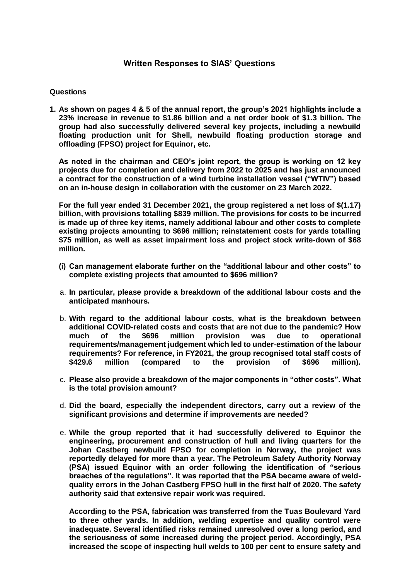# **Written Responses to SIAS' Questions**

#### **Questions**

**1. As shown on pages 4 & 5 of the annual report, the group's 2021 highlights include a 23% increase in revenue to \$1.86 billion and a net order book of \$1.3 billion. The group had also successfully delivered several key projects, including a newbuild floating production unit for Shell, newbuild floating production storage and offloading (FPSO) project for Equinor, etc.**

**As noted in the chairman and CEO's joint report, the group is working on 12 key projects due for completion and delivery from 2022 to 2025 and has just announced a contract for the construction of a wind turbine installation vessel ("WTIV") based on an in-house design in collaboration with the customer on 23 March 2022.**

**For the full year ended 31 December 2021, the group registered a net loss of \$(1.17) billion, with provisions totalling \$839 million. The provisions for costs to be incurred is made up of three key items, namely additional labour and other costs to complete existing projects amounting to \$696 million; reinstatement costs for yards totalling \$75 million, as well as asset impairment loss and project stock write-down of \$68 million.**

- **(i) Can management elaborate further on the "additional labour and other costs" to complete existing projects that amounted to \$696 million?**
- a. **In particular, please provide a breakdown of the additional labour costs and the anticipated manhours.**
- b. **With regard to the additional labour costs, what is the breakdown between additional COVID-related costs and costs that are not due to the pandemic? How much of the \$696 million provision was due to operational requirements/management judgement which led to under-estimation of the labour requirements? For reference, in FY2021, the group recognised total staff costs of \$429.6 million (compared to the provision of \$696 million).**
- c. **Please also provide a breakdown of the major components in "other costs". What is the total provision amount?**
- d. **Did the board, especially the independent directors, carry out a review of the significant provisions and determine if improvements are needed?**
- e. **While the group reported that it had successfully delivered to Equinor the engineering, procurement and construction of hull and living quarters for the Johan Castberg newbuild FPSO for completion in Norway, the project was reportedly delayed for more than a year. The Petroleum Safety Authority Norway (PSA) issued Equinor with an order following the identification of "serious breaches of the regulations". It was reported that the PSA became aware of weldquality errors in the Johan Castberg FPSO hull in the first half of 2020. The safety authority said that extensive repair work was required.**

**According to the PSA, fabrication was transferred from the Tuas Boulevard Yard to three other yards. In addition, welding expertise and quality control were inadequate. Several identified risks remained unresolved over a long period, and the seriousness of some increased during the project period. Accordingly, PSA increased the scope of inspecting hull welds to 100 per cent to ensure safety and**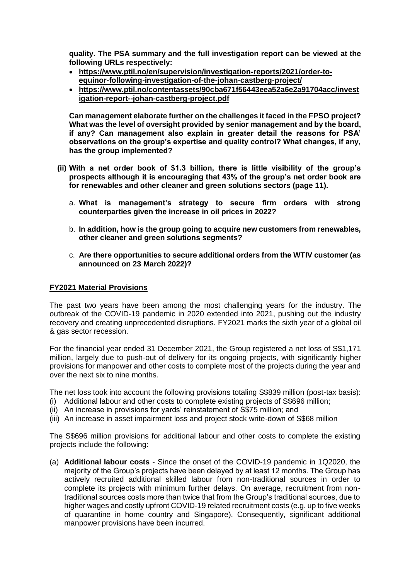**quality. The PSA summary and the full investigation report can be viewed at the following URLs respectively:**

- **[https://www.ptil.no/en/supervision/investigation-reports/2021/order-to](https://www.ptil.no/en/supervision/investigation-reports/2021/order-to-equinor-following-investigation-of-the-johan-castberg-project/)[equinor-following-investigation-of-the-johan-castberg-project/](https://www.ptil.no/en/supervision/investigation-reports/2021/order-to-equinor-following-investigation-of-the-johan-castberg-project/)**
- **[https://www.ptil.no/contentassets/90cba671f56443eea52a6e2a91704acc/invest](https://www.ptil.no/contentassets/90cba671f56443eea52a6e2a91704acc/investigation-report--johan-castberg-project.pdf) [igation-report--johan-castberg-project.pdf](https://www.ptil.no/contentassets/90cba671f56443eea52a6e2a91704acc/investigation-report--johan-castberg-project.pdf)**

**Can management elaborate further on the challenges it faced in the FPSO project? What was the level of oversight provided by senior management and by the board, if any? Can management also explain in greater detail the reasons for PSA' observations on the group's expertise and quality control? What changes, if any, has the group implemented?**

- **(ii) With a net order book of \$1.3 billion, there is little visibility of the group's prospects although it is encouraging that 43% of the group's net order book are for renewables and other cleaner and green solutions sectors (page 11).**
	- a. **What is management's strategy to secure firm orders with strong counterparties given the increase in oil prices in 2022?**
	- b. **In addition, how is the group going to acquire new customers from renewables, other cleaner and green solutions segments?**
	- c. **Are there opportunities to secure additional orders from the WTIV customer (as announced on 23 March 2022)?**

#### **FY2021 Material Provisions**

The past two years have been among the most challenging years for the industry. The outbreak of the COVID-19 pandemic in 2020 extended into 2021, pushing out the industry recovery and creating unprecedented disruptions. FY2021 marks the sixth year of a global oil & gas sector recession.

For the financial year ended 31 December 2021, the Group registered a net loss of S\$1,171 million, largely due to push-out of delivery for its ongoing projects, with significantly higher provisions for manpower and other costs to complete most of the projects during the year and over the next six to nine months.

The net loss took into account the following provisions totaling S\$839 million (post-tax basis):

- (i) Additional labour and other costs to complete existing projects of S\$696 million;
- (ii) An increase in provisions for yards' reinstatement of S\$75 million; and
- (iii) An increase in asset impairment loss and project stock write-down of S\$68 million

The S\$696 million provisions for additional labour and other costs to complete the existing projects include the following:

(a) **Additional labour costs** - Since the onset of the COVID-19 pandemic in 1Q2020, the majority of the Group's projects have been delayed by at least 12 months. The Group has actively recruited additional skilled labour from non-traditional sources in order to complete its projects with minimum further delays. On average, recruitment from nontraditional sources costs more than twice that from the Group's traditional sources, due to higher wages and costly upfront COVID-19 related recruitment costs (e.g. up to five weeks of quarantine in home country and Singapore). Consequently, significant additional manpower provisions have been incurred.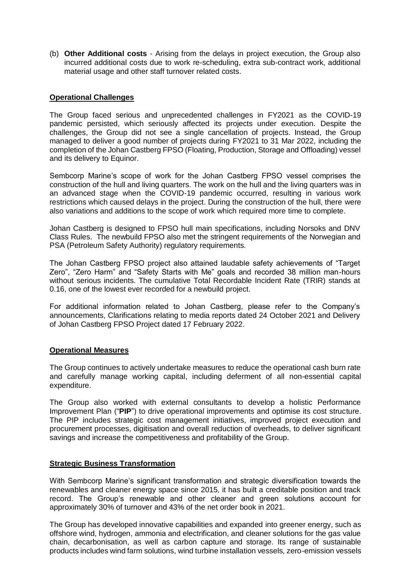(b) **Other Additional costs** - Arising from the delays in project execution, the Group also incurred additional costs due to work re-scheduling, extra sub-contract work, additional material usage and other staff turnover related costs.

# **Operational Challenges**

The Group faced serious and unprecedented challenges in FY2021 as the COVID-19 pandemic persisted, which seriously affected its projects under execution. Despite the challenges, the Group did not see a single cancellation of projects. Instead, the Group managed to deliver a good number of projects during FY2021 to 31 Mar 2022, including the completion of the Johan Castberg FPSO (Floating, Production, Storage and Offloading) vessel and its delivery to Equinor.

Sembcorp Marine's scope of work for the Johan Castberg FPSO vessel comprises the construction of the hull and living quarters. The work on the hull and the living quarters was in an advanced stage when the COVID-19 pandemic occurred, resulting in various work restrictions which caused delays in the project. During the construction of the hull, there were also variations and additions to the scope of work which required more time to complete.

Johan Castberg is designed to FPSO hull main specifications, including Norsoks and DNV Class Rules. The newbuild FPSO also met the stringent requirements of the Norwegian and PSA (Petroleum Safety Authority) regulatory requirements.

The Johan Castberg FPSO project also attained laudable safety achievements of "Target Zero", "Zero Harm" and "Safety Starts with Me" goals and recorded 38 million man-hours without serious incidents. The cumulative Total Recordable Incident Rate (TRIR) stands at 0.16, one of the lowest ever recorded for a newbuild project.

For additional information related to Johan Castberg, please refer to the Company's announcements, Clarifications relating to media reports dated 24 October 2021 and Delivery of Johan Castberg FPSO Project dated 17 February 2022.

#### **Operational Measures**

The Group continues to actively undertake measures to reduce the operational cash burn rate and carefully manage working capital, including deferment of all non-essential capital expenditure.

The Group also worked with external consultants to develop a holistic Performance Improvement Plan ("**PIP**") to drive operational improvements and optimise its cost structure. The PIP includes strategic cost management initiatives, improved project execution and procurement processes, digitisation and overall reduction of overheads, to deliver significant savings and increase the competitiveness and profitability of the Group.

## **Strategic Business Transformation**

With Sembcorp Marine's significant transformation and strategic diversification towards the renewables and cleaner energy space since 2015, it has built a creditable position and track record. The Group's renewable and other cleaner and green solutions account for approximately 30% of turnover and 43% of the net order book in 2021.

The Group has developed innovative capabilities and expanded into greener energy, such as offshore wind, hydrogen, ammonia and electrification, and cleaner solutions for the gas value chain, decarbonisation, as well as carbon capture and storage. Its range of sustainable products includes wind farm solutions, wind turbine installation vessels, zero-emission vessels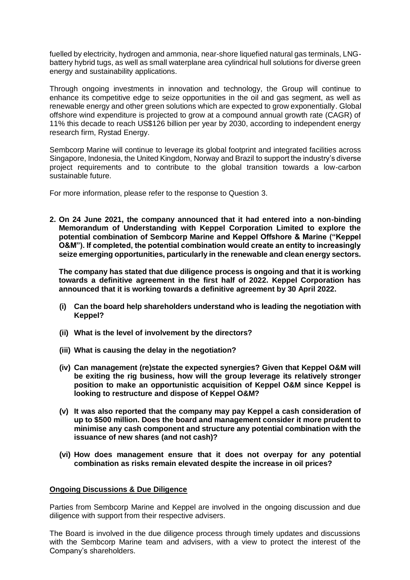fuelled by electricity, hydrogen and ammonia, near-shore liquefied natural gas terminals, LNGbattery hybrid tugs, as well as small waterplane area cylindrical hull solutions for diverse green energy and sustainability applications.

Through ongoing investments in innovation and technology, the Group will continue to enhance its competitive edge to seize opportunities in the oil and gas segment, as well as renewable energy and other green solutions which are expected to grow exponentially. Global offshore wind expenditure is projected to grow at a compound annual growth rate (CAGR) of 11% this decade to reach US\$126 billion per year by 2030, according to independent energy research firm, Rystad Energy.

Sembcorp Marine will continue to leverage its global footprint and integrated facilities across Singapore, Indonesia, the United Kingdom, Norway and Brazil to support the industry's diverse project requirements and to contribute to the global transition towards a low-carbon sustainable future.

For more information, please refer to the response to Question 3.

**2. On 24 June 2021, the company announced that it had entered into a non-binding Memorandum of Understanding with Keppel Corporation Limited to explore the potential combination of Sembcorp Marine and Keppel Offshore & Marine ("Keppel O&M"). If completed, the potential combination would create an entity to increasingly seize emerging opportunities, particularly in the renewable and clean energy sectors.**

**The company has stated that due diligence process is ongoing and that it is working towards a definitive agreement in the first half of 2022. Keppel Corporation has announced that it is working towards a definitive agreement by 30 April 2022.**

- **(i) Can the board help shareholders understand who is leading the negotiation with Keppel?**
- **(ii) What is the level of involvement by the directors?**
- **(iii) What is causing the delay in the negotiation?**
- **(iv) Can management (re)state the expected synergies? Given that Keppel O&M will be exiting the rig business, how will the group leverage its relatively stronger position to make an opportunistic acquisition of Keppel O&M since Keppel is looking to restructure and dispose of Keppel O&M?**
- **(v) It was also reported that the company may pay Keppel a cash consideration of up to \$500 million. Does the board and management consider it more prudent to minimise any cash component and structure any potential combination with the issuance of new shares (and not cash)?**
- **(vi) How does management ensure that it does not overpay for any potential combination as risks remain elevated despite the increase in oil prices?**

# **Ongoing Discussions & Due Diligence**

Parties from Sembcorp Marine and Keppel are involved in the ongoing discussion and due diligence with support from their respective advisers.

The Board is involved in the due diligence process through timely updates and discussions with the Sembcorp Marine team and advisers, with a view to protect the interest of the Company's shareholders.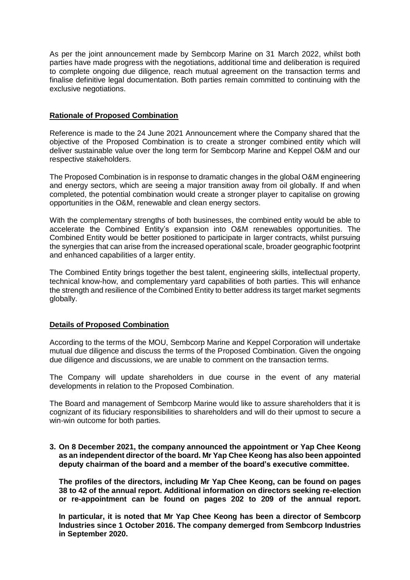As per the joint announcement made by Sembcorp Marine on 31 March 2022, whilst both parties have made progress with the negotiations, additional time and deliberation is required to complete ongoing due diligence, reach mutual agreement on the transaction terms and finalise definitive legal documentation. Both parties remain committed to continuing with the exclusive negotiations.

## **Rationale of Proposed Combination**

Reference is made to the 24 June 2021 Announcement where the Company shared that the objective of the Proposed Combination is to create a stronger combined entity which will deliver sustainable value over the long term for Sembcorp Marine and Keppel O&M and our respective stakeholders.

The Proposed Combination is in response to dramatic changes in the global O&M engineering and energy sectors, which are seeing a major transition away from oil globally. If and when completed, the potential combination would create a stronger player to capitalise on growing opportunities in the O&M, renewable and clean energy sectors.

With the complementary strengths of both businesses, the combined entity would be able to accelerate the Combined Entity's expansion into O&M renewables opportunities. The Combined Entity would be better positioned to participate in larger contracts, whilst pursuing the synergies that can arise from the increased operational scale, broader geographic footprint and enhanced capabilities of a larger entity.

The Combined Entity brings together the best talent, engineering skills, intellectual property, technical know-how, and complementary yard capabilities of both parties. This will enhance the strength and resilience of the Combined Entity to better address its target market segments globally.

# **Details of Proposed Combination**

According to the terms of the MOU, Sembcorp Marine and Keppel Corporation will undertake mutual due diligence and discuss the terms of the Proposed Combination. Given the ongoing due diligence and discussions, we are unable to comment on the transaction terms.

The Company will update shareholders in due course in the event of any material developments in relation to the Proposed Combination.

The Board and management of Sembcorp Marine would like to assure shareholders that it is cognizant of its fiduciary responsibilities to shareholders and will do their upmost to secure a win-win outcome for both parties.

**3. On 8 December 2021, the company announced the appointment or Yap Chee Keong as an independent director of the board. Mr Yap Chee Keong has also been appointed deputy chairman of the board and a member of the board's executive committee.** 

**The profiles of the directors, including Mr Yap Chee Keong, can be found on pages 38 to 42 of the annual report. Additional information on directors seeking re-election or re-appointment can be found on pages 202 to 209 of the annual report.** 

**In particular, it is noted that Mr Yap Chee Keong has been a director of Sembcorp Industries since 1 October 2016. The company demerged from Sembcorp Industries in September 2020.**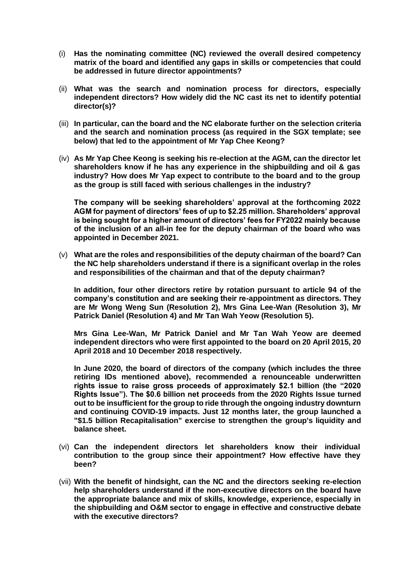- (i) **Has the nominating committee (NC) reviewed the overall desired competency matrix of the board and identified any gaps in skills or competencies that could be addressed in future director appointments?**
- (ii) **What was the search and nomination process for directors, especially independent directors? How widely did the NC cast its net to identify potential director(s)?**
- (iii) **In particular, can the board and the NC elaborate further on the selection criteria and the search and nomination process (as required in the SGX template; see below) that led to the appointment of Mr Yap Chee Keong?**
- (iv) **As Mr Yap Chee Keong is seeking his re-election at the AGM, can the director let shareholders know if he has any experience in the shipbuilding and oil & gas industry? How does Mr Yap expect to contribute to the board and to the group as the group is still faced with serious challenges in the industry?**

**The company will be seeking shareholders' approval at the forthcoming 2022 AGM for payment of directors' fees of up to \$2.25 million. Shareholders' approval is being sought for a higher amount of directors' fees for FY2022 mainly because of the inclusion of an all-in fee for the deputy chairman of the board who was appointed in December 2021.**

(v) **What are the roles and responsibilities of the deputy chairman of the board? Can the NC help shareholders understand if there is a significant overlap in the roles and responsibilities of the chairman and that of the deputy chairman?** 

**In addition, four other directors retire by rotation pursuant to article 94 of the company's constitution and are seeking their re-appointment as directors. They are Mr Wong Weng Sun (Resolution 2), Mrs Gina Lee-Wan (Resolution 3), Mr Patrick Daniel (Resolution 4) and Mr Tan Wah Yeow (Resolution 5).** 

**Mrs Gina Lee-Wan, Mr Patrick Daniel and Mr Tan Wah Yeow are deemed independent directors who were first appointed to the board on 20 April 2015, 20 April 2018 and 10 December 2018 respectively.** 

**In June 2020, the board of directors of the company (which includes the three retiring IDs mentioned above), recommended a renounceable underwritten rights issue to raise gross proceeds of approximately \$2.1 billion (the "2020 Rights Issue"). The \$0.6 billion net proceeds from the 2020 Rights Issue turned out to be insufficient for the group to ride through the ongoing industry downturn and continuing COVID-19 impacts. Just 12 months later, the group launched a "\$1.5 billion Recapitalisation" exercise to strengthen the group's liquidity and balance sheet.**

- (vi) **Can the independent directors let shareholders know their individual contribution to the group since their appointment? How effective have they been?**
- (vii) **With the benefit of hindsight, can the NC and the directors seeking re-election help shareholders understand if the non-executive directors on the board have the appropriate balance and mix of skills, knowledge, experience, especially in the shipbuilding and O&M sector to engage in effective and constructive debate with the executive directors?**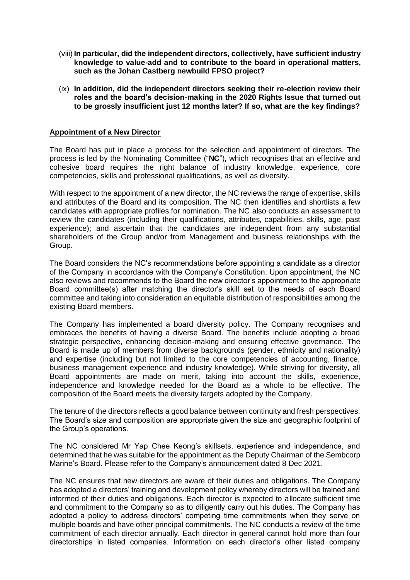- (viii) **In particular, did the independent directors, collectively, have sufficient industry knowledge to value-add and to contribute to the board in operational matters, such as the Johan Castberg newbuild FPSO project?**
- (ix) **In addition, did the independent directors seeking their re-election review their roles and the board's decision-making in the 2020 Rights Issue that turned out to be grossly insufficient just 12 months later? If so, what are the key findings?**

#### **Appointment of a New Director**

The Board has put in place a process for the selection and appointment of directors. The process is led by the Nominating Committee ("**NC**"), which recognises that an effective and cohesive board requires the right balance of industry knowledge, experience, core competencies, skills and professional qualifications, as well as diversity.

With respect to the appointment of a new director, the NC reviews the range of expertise, skills and attributes of the Board and its composition. The NC then identifies and shortlists a few candidates with appropriate profiles for nomination. The NC also conducts an assessment to review the candidates (including their qualifications, attributes, capabilities, skills, age, past experience); and ascertain that the candidates are independent from any substantial shareholders of the Group and/or from Management and business relationships with the Group.

The Board considers the NC's recommendations before appointing a candidate as a director of the Company in accordance with the Company's Constitution. Upon appointment, the NC also reviews and recommends to the Board the new director's appointment to the appropriate Board committee(s) after matching the director's skill set to the needs of each Board committee and taking into consideration an equitable distribution of responsibilities among the existing Board members.

The Company has implemented a board diversity policy. The Company recognises and embraces the benefits of having a diverse Board. The benefits include adopting a broad strategic perspective, enhancing decision-making and ensuring effective governance. The Board is made up of members from diverse backgrounds (gender, ethnicity and nationality) and expertise (including but not limited to the core competencies of accounting, finance, business management experience and industry knowledge). While striving for diversity, all Board appointments are made on merit, taking into account the skills, experience, independence and knowledge needed for the Board as a whole to be effective. The composition of the Board meets the diversity targets adopted by the Company.

The tenure of the directors reflects a good balance between continuity and fresh perspectives. The Board's size and composition are appropriate given the size and geographic footprint of the Group's operations.

The NC considered Mr Yap Chee Keong's skillsets, experience and independence, and determined that he was suitable for the appointment as the Deputy Chairman of the Sembcorp Marine's Board. Please refer to the Company's [announcement dated 8 Dec 2021.](https://links.sgx.com/1.0.0/corporate-announcements/UCCFMO4B1WPJIY8Y/1ad93cf40e915edf92fd5a1f244da0b77a5ec6aeae7ac385102130cfe73f2cd6)

The NC ensures that new directors are aware of their duties and obligations. The Company has adopted a directors' training and development policy whereby directors will be trained and informed of their duties and obligations. Each director is expected to allocate sufficient time and commitment to the Company so as to diligently carry out his duties. The Company has adopted a policy to address directors' competing time commitments when they serve on multiple boards and have other principal commitments. The NC conducts a review of the time commitment of each director annually. Each director in general cannot hold more than four directorships in listed companies. Information on each director's other listed company